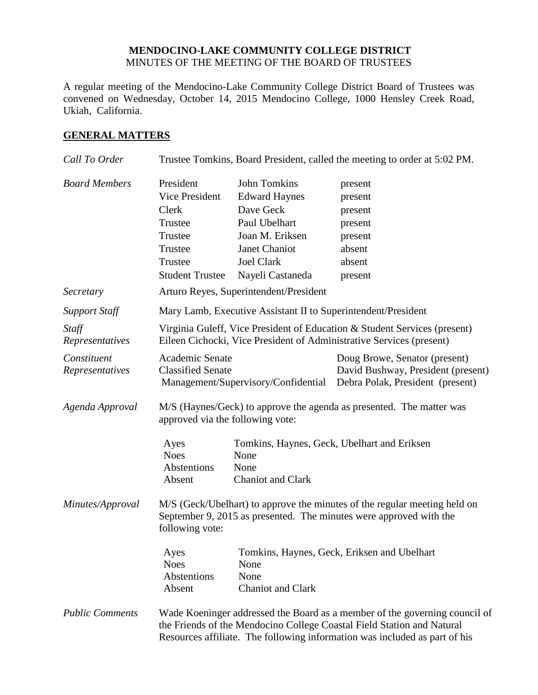#### **MENDOCINO-LAKE COMMUNITY COLLEGE DISTRICT** MINUTES OF THE MEETING OF THE BOARD OF TRUSTEES

A regular meeting of the Mendocino-Lake Community College District Board of Trustees was convened on Wednesday, October 14, 2015 Mendocino College, 1000 Hensley Creek Road, Ukiah, California.

#### **GENERAL MATTERS**

| Call To Order                  |                                                                                                                                                                                                                                    |                                                                                                                                                        | Trustee Tomkins, Board President, called the meeting to order at 5:02 PM.                               |
|--------------------------------|------------------------------------------------------------------------------------------------------------------------------------------------------------------------------------------------------------------------------------|--------------------------------------------------------------------------------------------------------------------------------------------------------|---------------------------------------------------------------------------------------------------------|
| <b>Board Members</b>           | President<br>Vice President<br>Clerk<br>Trustee<br>Trustee<br>Trustee<br>Trustee<br><b>Student Trustee</b>                                                                                                                         | <b>John Tomkins</b><br><b>Edward Haynes</b><br>Dave Geck<br>Paul Ubelhart<br>Joan M. Eriksen<br>Janet Chaniot<br><b>Joel Clark</b><br>Nayeli Castaneda | present<br>present<br>present<br>present<br>present<br>absent<br>absent<br>present                      |
| Secretary                      |                                                                                                                                                                                                                                    | Arturo Reyes, Superintendent/President                                                                                                                 |                                                                                                         |
| <b>Support Staff</b>           | Mary Lamb, Executive Assistant II to Superintendent/President                                                                                                                                                                      |                                                                                                                                                        |                                                                                                         |
| Staff<br>Representatives       | Virginia Guleff, Vice President of Education & Student Services (present)<br>Eileen Cichocki, Vice President of Administrative Services (present)                                                                                  |                                                                                                                                                        |                                                                                                         |
| Constituent<br>Representatives | Academic Senate<br><b>Classified Senate</b>                                                                                                                                                                                        | Management/Supervisory/Confidential                                                                                                                    | Doug Browe, Senator (present)<br>David Bushway, President (present)<br>Debra Polak, President (present) |
| Agenda Approval                | M/S (Haynes/Geck) to approve the agenda as presented. The matter was<br>approved via the following vote:                                                                                                                           |                                                                                                                                                        |                                                                                                         |
|                                | Ayes<br><b>Noes</b><br>Abstentions<br>Absent                                                                                                                                                                                       | None<br>None<br><b>Chaniot</b> and Clark                                                                                                               | Tomkins, Haynes, Geck, Ubelhart and Eriksen                                                             |
| Minutes/Approval               | M/S (Geck/Ubelhart) to approve the minutes of the regular meeting held on<br>September 9, 2015 as presented. The minutes were approved with the<br>following vote:                                                                 |                                                                                                                                                        |                                                                                                         |
|                                | Ayes<br><b>Noes</b><br>Abstentions<br>Absent                                                                                                                                                                                       | None<br>None<br><b>Chaniot</b> and Clark                                                                                                               | Tomkins, Haynes, Geck, Eriksen and Ubelhart                                                             |
| <b>Public Comments</b>         | Wade Koeninger addressed the Board as a member of the governing council of<br>the Friends of the Mendocino College Coastal Field Station and Natural<br>Resources affiliate. The following information was included as part of his |                                                                                                                                                        |                                                                                                         |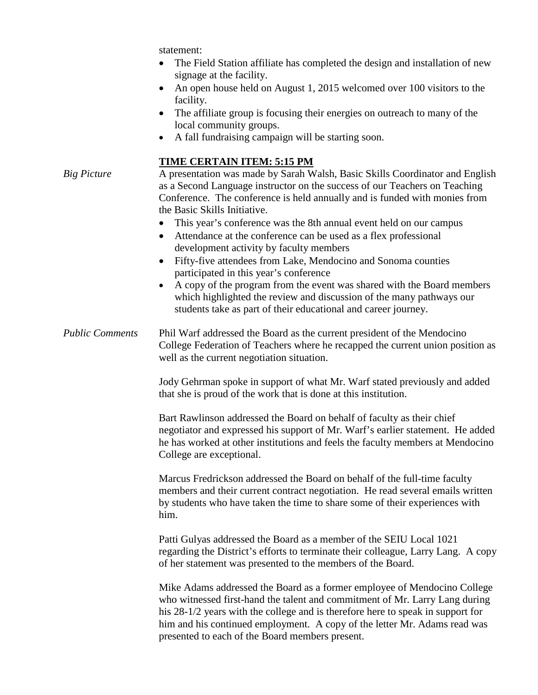statement:

- The Field Station affiliate has completed the design and installation of new signage at the facility.
- An open house held on August 1, 2015 welcomed over 100 visitors to the facility.
- The affiliate group is focusing their energies on outreach to many of the local community groups.
- A fall fundraising campaign will be starting soon.

#### **TIME CERTAIN ITEM: 5:15 PM**

*Big Picture* A presentation was made by Sarah Walsh, Basic Skills Coordinator and English as a Second Language instructor on the success of our Teachers on Teaching Conference. The conference is held annually and is funded with monies from the Basic Skills Initiative.

- This year's conference was the 8th annual event held on our campus
- Attendance at the conference can be used as a flex professional development activity by faculty members
- Fifty-five attendees from Lake, Mendocino and Sonoma counties participated in this year's conference
- A copy of the program from the event was shared with the Board members which highlighted the review and discussion of the many pathways our students take as part of their educational and career journey.

*Public Comments* Phil Warf addressed the Board as the current president of the Mendocino College Federation of Teachers where he recapped the current union position as well as the current negotiation situation.

> Jody Gehrman spoke in support of what Mr. Warf stated previously and added that she is proud of the work that is done at this institution.

Bart Rawlinson addressed the Board on behalf of faculty as their chief negotiator and expressed his support of Mr. Warf's earlier statement. He added he has worked at other institutions and feels the faculty members at Mendocino College are exceptional.

Marcus Fredrickson addressed the Board on behalf of the full-time faculty members and their current contract negotiation. He read several emails written by students who have taken the time to share some of their experiences with him.

Patti Gulyas addressed the Board as a member of the SEIU Local 1021 regarding the District's efforts to terminate their colleague, Larry Lang. A copy of her statement was presented to the members of the Board.

Mike Adams addressed the Board as a former employee of Mendocino College who witnessed first-hand the talent and commitment of Mr. Larry Lang during his 28-1/2 years with the college and is therefore here to speak in support for him and his continued employment. A copy of the letter Mr. Adams read was presented to each of the Board members present.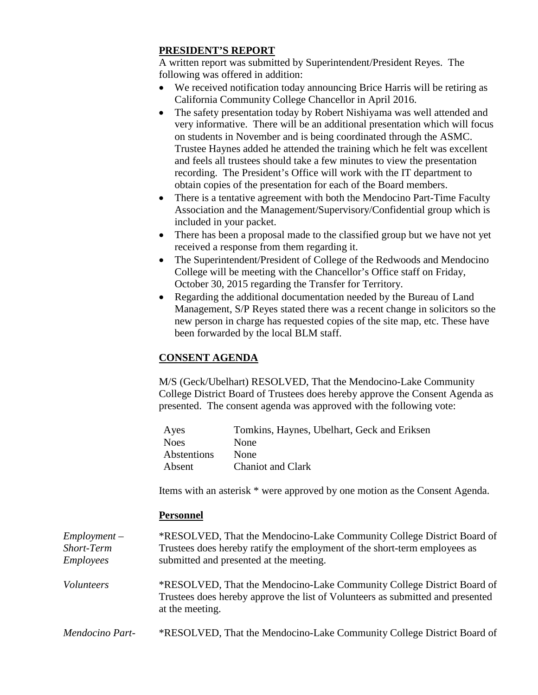## **PRESIDENT'S REPORT**

A written report was submitted by Superintendent/President Reyes. The following was offered in addition:

- We received notification today announcing Brice Harris will be retiring as California Community College Chancellor in April 2016.
- The safety presentation today by Robert Nishiyama was well attended and very informative. There will be an additional presentation which will focus on students in November and is being coordinated through the ASMC. Trustee Haynes added he attended the training which he felt was excellent and feels all trustees should take a few minutes to view the presentation recording. The President's Office will work with the IT department to obtain copies of the presentation for each of the Board members.
- There is a tentative agreement with both the Mendocino Part-Time Faculty Association and the Management/Supervisory/Confidential group which is included in your packet.
- There has been a proposal made to the classified group but we have not yet received a response from them regarding it.
- The Superintendent/President of College of the Redwoods and Mendocino College will be meeting with the Chancellor's Office staff on Friday, October 30, 2015 regarding the Transfer for Territory.
- Regarding the additional documentation needed by the Bureau of Land Management, S/P Reyes stated there was a recent change in solicitors so the new person in charge has requested copies of the site map, etc. These have been forwarded by the local BLM staff.

# **CONSENT AGENDA**

M/S (Geck/Ubelhart) RESOLVED, That the Mendocino-Lake Community College District Board of Trustees does hereby approve the Consent Agenda as presented. The consent agenda was approved with the following vote:

| Ayes        | Tomkins, Haynes, Ubelhart, Geck and Eriksen |
|-------------|---------------------------------------------|
| <b>Noes</b> | None                                        |
| Abstentions | None                                        |
| Absent      | <b>Chaniot and Clark</b>                    |

Items with an asterisk \* were approved by one motion as the Consent Agenda.

#### **Personnel**

| $Employment -$<br>Short-Term<br><i>Employees</i> | *RESOLVED, That the Mendocino-Lake Community College District Board of<br>Trustees does hereby ratify the employment of the short-term employees as<br>submitted and presented at the meeting. |
|--------------------------------------------------|------------------------------------------------------------------------------------------------------------------------------------------------------------------------------------------------|
| Volunteers                                       | *RESOLVED, That the Mendocino-Lake Community College District Board of<br>Trustees does hereby approve the list of Volunteers as submitted and presented<br>at the meeting.                    |
| Mendocino Part-                                  | *RESOLVED, That the Mendocino-Lake Community College District Board of                                                                                                                         |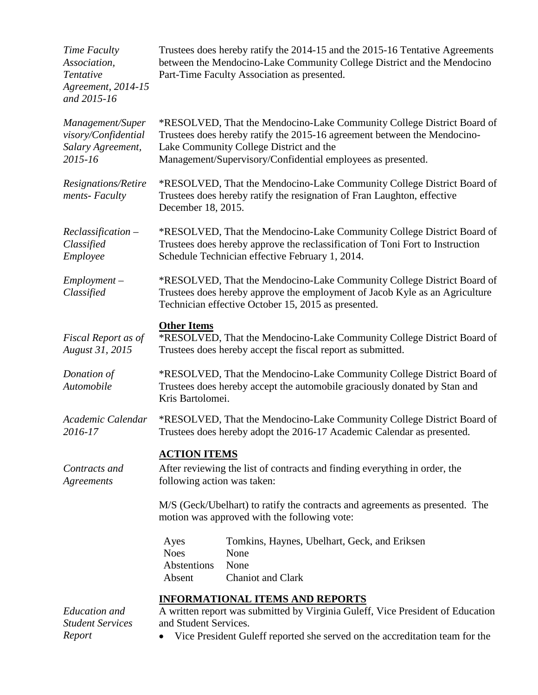| Time Faculty<br>Association,<br>Tentative<br>Agreement, 2014-15<br>and 2015-16 | Trustees does hereby ratify the 2014-15 and the 2015-16 Tentative Agreements<br>between the Mendocino-Lake Community College District and the Mendocino<br>Part-Time Faculty Association as presented.                                                       |  |
|--------------------------------------------------------------------------------|--------------------------------------------------------------------------------------------------------------------------------------------------------------------------------------------------------------------------------------------------------------|--|
| Management/Super<br>visory/Confidential<br>Salary Agreement,<br>2015-16        | *RESOLVED, That the Mendocino-Lake Community College District Board of<br>Trustees does hereby ratify the 2015-16 agreement between the Mendocino-<br>Lake Community College District and the<br>Management/Supervisory/Confidential employees as presented. |  |
| Resignations/Retire<br>ments-Faculty                                           | *RESOLVED, That the Mendocino-Lake Community College District Board of<br>Trustees does hereby ratify the resignation of Fran Laughton, effective<br>December 18, 2015.                                                                                      |  |
| Reclassification-<br>Classified<br>Employee                                    | *RESOLVED, That the Mendocino-Lake Community College District Board of<br>Trustees does hereby approve the reclassification of Toni Fort to Instruction<br>Schedule Technician effective February 1, 2014.                                                   |  |
| $Employment -$<br>Classified                                                   | *RESOLVED, That the Mendocino-Lake Community College District Board of<br>Trustees does hereby approve the employment of Jacob Kyle as an Agriculture<br>Technician effective October 15, 2015 as presented.                                                 |  |
| Fiscal Report as of<br>August 31, 2015                                         | <b>Other Items</b><br>*RESOLVED, That the Mendocino-Lake Community College District Board of<br>Trustees does hereby accept the fiscal report as submitted.                                                                                                  |  |
| Donation of<br>Automobile                                                      | *RESOLVED, That the Mendocino-Lake Community College District Board of<br>Trustees does hereby accept the automobile graciously donated by Stan and<br>Kris Bartolomei.                                                                                      |  |
| Academic Calendar<br>2016-17                                                   | *RESOLVED, That the Mendocino-Lake Community College District Board of<br>Trustees does hereby adopt the 2016-17 Academic Calendar as presented.                                                                                                             |  |
| Contracts and<br>Agreements                                                    | <u>ACTION ITEMS</u><br>After reviewing the list of contracts and finding everything in order, the<br>following action was taken:                                                                                                                             |  |
|                                                                                | M/S (Geck/Ubelhart) to ratify the contracts and agreements as presented. The<br>motion was approved with the following vote:                                                                                                                                 |  |
|                                                                                | Tomkins, Haynes, Ubelhart, Geck, and Eriksen<br>Ayes<br><b>Noes</b><br>None<br>Abstentions<br>None<br>Chaniot and Clark<br>Absent                                                                                                                            |  |
| Education and<br><b>Student Services</b><br>Report                             | <b>INFORMATIONAL ITEMS AND REPORTS</b><br>A written report was submitted by Virginia Guleff, Vice President of Education<br>and Student Services.<br>• Vice President Guleff reported she served on the accreditation team for the                           |  |

• Vice President Guleff reported she served on the accreditation team for the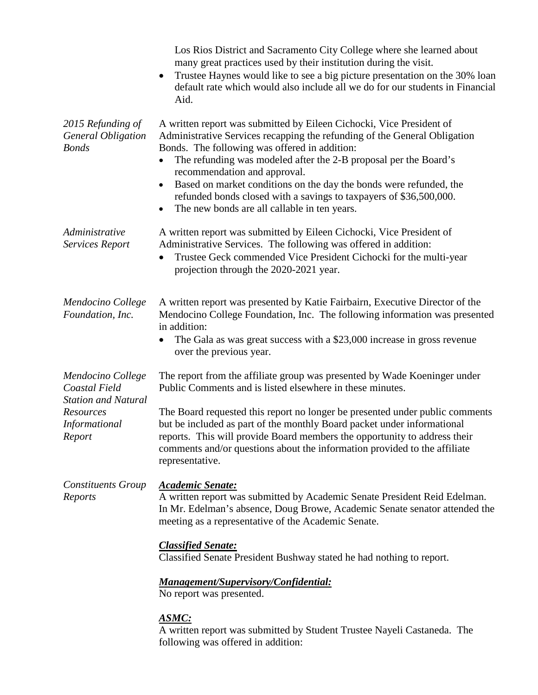|                                                                                                          | Los Rios District and Sacramento City College where she learned about<br>many great practices used by their institution during the visit.<br>Trustee Haynes would like to see a big picture presentation on the 30% loan<br>default rate which would also include all we do for our students in Financial<br>Aid.                                                                                                                                                                                               |
|----------------------------------------------------------------------------------------------------------|-----------------------------------------------------------------------------------------------------------------------------------------------------------------------------------------------------------------------------------------------------------------------------------------------------------------------------------------------------------------------------------------------------------------------------------------------------------------------------------------------------------------|
| 2015 Refunding of<br><b>General Obligation</b><br><b>Bonds</b>                                           | A written report was submitted by Eileen Cichocki, Vice President of<br>Administrative Services recapping the refunding of the General Obligation<br>Bonds. The following was offered in addition:<br>The refunding was modeled after the 2-B proposal per the Board's<br>recommendation and approval.<br>Based on market conditions on the day the bonds were refunded, the<br>refunded bonds closed with a savings to taxpayers of \$36,500,000.<br>The new bonds are all callable in ten years.<br>$\bullet$ |
| Administrative<br>Services Report                                                                        | A written report was submitted by Eileen Cichocki, Vice President of<br>Administrative Services. The following was offered in addition:<br>Trustee Geck commended Vice President Cichocki for the multi-year<br>projection through the 2020-2021 year.                                                                                                                                                                                                                                                          |
| Mendocino College<br>Foundation, Inc.                                                                    | A written report was presented by Katie Fairbairn, Executive Director of the<br>Mendocino College Foundation, Inc. The following information was presented<br>in addition:<br>The Gala as was great success with a \$23,000 increase in gross revenue<br>over the previous year.                                                                                                                                                                                                                                |
| Mendocino College<br>Coastal Field<br><b>Station and Natural</b><br>Resources<br>Informational<br>Report | The report from the affiliate group was presented by Wade Koeninger under<br>Public Comments and is listed elsewhere in these minutes.<br>The Board requested this report no longer be presented under public comments<br>but be included as part of the monthly Board packet under informational<br>reports. This will provide Board members the opportunity to address their<br>comments and/or questions about the information provided to the affiliate<br>representative.                                  |
| <b>Constituents Group</b><br>Reports                                                                     | <b>Academic Senate:</b><br>A written report was submitted by Academic Senate President Reid Edelman.<br>In Mr. Edelman's absence, Doug Browe, Academic Senate senator attended the<br>meeting as a representative of the Academic Senate.                                                                                                                                                                                                                                                                       |
|                                                                                                          | <b>Classified Senate:</b><br>Classified Senate President Bushway stated he had nothing to report.                                                                                                                                                                                                                                                                                                                                                                                                               |
|                                                                                                          | <b>Management/Supervisory/Confidential:</b><br>No report was presented.                                                                                                                                                                                                                                                                                                                                                                                                                                         |
|                                                                                                          | <u>ASMC:</u><br>A written report was submitted by Student Trustee Nayeli Castaneda. The<br>following was offered in addition:                                                                                                                                                                                                                                                                                                                                                                                   |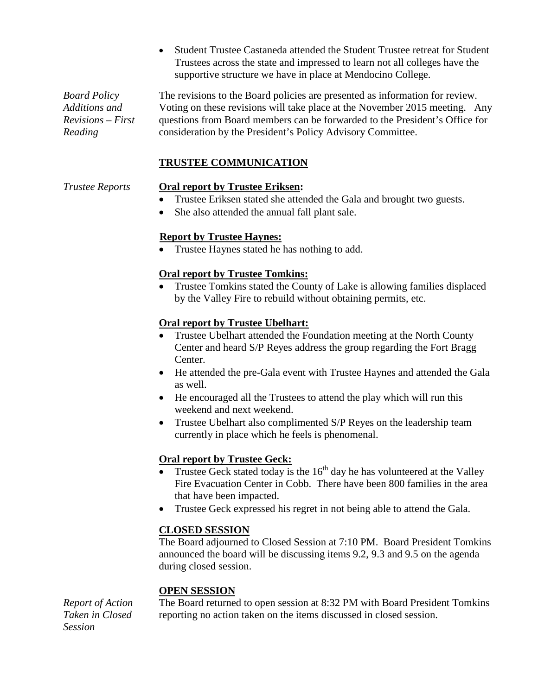• Student Trustee Castaneda attended the Student Trustee retreat for Student Trustees across the state and impressed to learn not all colleges have the supportive structure we have in place at Mendocino College.

*Board Policy Additions and Revisions – First Reading*

The revisions to the Board policies are presented as information for review. Voting on these revisions will take place at the November 2015 meeting. Any questions from Board members can be forwarded to the President's Office for consideration by the President's Policy Advisory Committee.

# **TRUSTEE COMMUNICATION**

## *Trustee Reports* **Oral report by Trustee Eriksen:**

- Trustee Eriksen stated she attended the Gala and brought two guests.
- She also attended the annual fall plant sale.

# **Report by Trustee Haynes:**

• Trustee Haynes stated he has nothing to add.

# **Oral report by Trustee Tomkins:**

• Trustee Tomkins stated the County of Lake is allowing families displaced by the Valley Fire to rebuild without obtaining permits, etc.

## **Oral report by Trustee Ubelhart:**

- Trustee Ubelhart attended the Foundation meeting at the North County Center and heard S/P Reyes address the group regarding the Fort Bragg Center.
- He attended the pre-Gala event with Trustee Haynes and attended the Gala as well.
- He encouraged all the Trustees to attend the play which will run this weekend and next weekend.
- Trustee Ubelhart also complimented S/P Reyes on the leadership team currently in place which he feels is phenomenal.

# **Oral report by Trustee Geck:**

- Trustee Geck stated today is the  $16<sup>th</sup>$  day he has volunteered at the Valley Fire Evacuation Center in Cobb. There have been 800 families in the area that have been impacted.
- Trustee Geck expressed his regret in not being able to attend the Gala.

## **CLOSED SESSION**

The Board adjourned to Closed Session at 7:10 PM. Board President Tomkins announced the board will be discussing items 9.2, 9.3 and 9.5 on the agenda during closed session.

## **OPEN SESSION**

*Report of Action Taken in Closed Session*

The Board returned to open session at 8:32 PM with Board President Tomkins reporting no action taken on the items discussed in closed session.